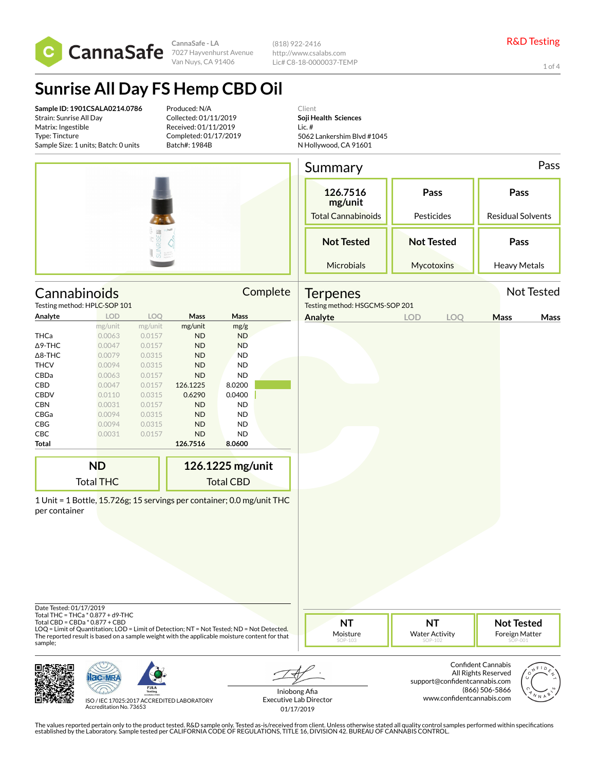

**CannaSafe - LA** 7027 Hayvenhurst Avenue Van Nuys, CA 91406

(818) 922-2416 http://www.csalabs.com Lic# C8-18-0000037-TEMP

1 of 4

# **Sunrise All Day FS Hemp CBD Oil**

**Sample ID: 1901CSALA0214.0786** Strain: Sunrise All Day Matrix: Ingestible Type: Tincture Sample Size: 1 units; Batch: 0 units

Produced: N/A Collected: 01/11/2019 Received: 01/11/2019 Completed: 01/17/2019 Batch#: 1984B

Client **Soji Health Sciences** Lic. # 5062 Lankershim Blvd #1045 N Hollywood, CA 91601

|                                    |                                                                                                                                                                                                                                                                    |                   |           |                  |          | Summary                                           |                                               |     |                                                | Pass       |
|------------------------------------|--------------------------------------------------------------------------------------------------------------------------------------------------------------------------------------------------------------------------------------------------------------------|-------------------|-----------|------------------|----------|---------------------------------------------------|-----------------------------------------------|-----|------------------------------------------------|------------|
|                                    |                                                                                                                                                                                                                                                                    |                   |           |                  |          | 126.7516<br>mg/unit<br><b>Total Cannabinoids</b>  | Pass<br>Pesticides                            |     | Pass<br><b>Residual Solvents</b>               |            |
|                                    |                                                                                                                                                                                                                                                                    | <b>SUNRISE MM</b> |           |                  |          | <b>Not Tested</b>                                 | <b>Not Tested</b>                             |     | Pass                                           |            |
|                                    |                                                                                                                                                                                                                                                                    |                   |           |                  |          |                                                   |                                               |     |                                                |            |
|                                    |                                                                                                                                                                                                                                                                    |                   |           |                  |          | Microbials                                        | Mycotoxins                                    |     | <b>Heavy Metals</b>                            |            |
|                                    | Cannabinoids<br>Testing method: HPLC-SOP 101                                                                                                                                                                                                                       |                   |           |                  | Complete | <b>Terpenes</b><br>Testing method: HSGCMS-SOP 201 |                                               |     |                                                | Not Tested |
| Analyte                            | LOD                                                                                                                                                                                                                                                                | LOQ               | Mass      | Mass             |          | Analyte                                           | <b>LOD</b>                                    | LOQ | Mass                                           | Mass       |
|                                    | mg/unit                                                                                                                                                                                                                                                            | mg/unit           | mg/unit   | mg/g             |          |                                                   |                                               |     |                                                |            |
| <b>THCa</b>                        | 0.0063                                                                                                                                                                                                                                                             | 0.0157            | <b>ND</b> | ND               |          |                                                   |                                               |     |                                                |            |
| $\Delta$ 9-THC                     | 0.0047                                                                                                                                                                                                                                                             | 0.0157            | <b>ND</b> | <b>ND</b>        |          |                                                   |                                               |     |                                                |            |
| $\Delta$ 8-THC                     | 0.0079                                                                                                                                                                                                                                                             | 0.0315            | <b>ND</b> | <b>ND</b>        |          |                                                   |                                               |     |                                                |            |
| <b>THCV</b>                        | 0.0094                                                                                                                                                                                                                                                             | 0.0315            | <b>ND</b> | <b>ND</b>        |          |                                                   |                                               |     |                                                |            |
| CBDa                               | 0.0063                                                                                                                                                                                                                                                             | 0.0157            | <b>ND</b> | <b>ND</b>        |          |                                                   |                                               |     |                                                |            |
| CBD                                | 0.0047                                                                                                                                                                                                                                                             | 0.0157            | 126.1225  | 8.0200           |          |                                                   |                                               |     |                                                |            |
| CBDV                               | 0.0110                                                                                                                                                                                                                                                             | 0.0315            | 0.6290    | 0.0400           |          |                                                   |                                               |     |                                                |            |
| CBN                                | 0.0031                                                                                                                                                                                                                                                             | 0.0157            | <b>ND</b> | ND               |          |                                                   |                                               |     |                                                |            |
| CBGa                               | 0.0094                                                                                                                                                                                                                                                             | 0.0315            | <b>ND</b> | <b>ND</b>        |          |                                                   |                                               |     |                                                |            |
| CBG                                | 0.0094                                                                                                                                                                                                                                                             | 0.0315            | <b>ND</b> | <b>ND</b>        |          |                                                   |                                               |     |                                                |            |
| CBC                                | 0.0031                                                                                                                                                                                                                                                             | 0.0157            | <b>ND</b> | <b>ND</b>        |          |                                                   |                                               |     |                                                |            |
| Total                              |                                                                                                                                                                                                                                                                    |                   | 126.7516  | 8.0600           |          |                                                   |                                               |     |                                                |            |
|                                    | <b>ND</b>                                                                                                                                                                                                                                                          |                   |           | 126.1225 mg/unit |          |                                                   |                                               |     |                                                |            |
|                                    | <b>Total THC</b>                                                                                                                                                                                                                                                   |                   |           | <b>Total CBD</b> |          |                                                   |                                               |     |                                                |            |
| per container                      | 1 Unit = 1 Bottle, 15.726g; 15 servings per container; 0.0 mg/unit THC                                                                                                                                                                                             |                   |           |                  |          |                                                   |                                               |     |                                                |            |
| Date Tested: 01/17/2019<br>sample; | Total THC = THCa * 0.877 + d9-THC<br>Total CBD = CBDa * 0.877 + CBD<br>LOQ = Limit of Quantitation; LOD = Limit of Detection; NT = Not Tested; ND = Not Detected.<br>The reported result is based on a sample weight with the applicable moisture content for that |                   |           |                  |          | <b>NT</b><br>Moisture<br>SOP-103                  | <b>NT</b><br><b>Water Activity</b><br>SOP-102 |     | <b>Not Tested</b><br>Foreign Matter<br>SOP-001 |            |





ISO / IEC 17025:2017 ACCREDITED LABORATORY Accreditation No. 73653

Iniobong Afia Executive Lab Director 01/17/2019

Confident Cannabis All Rights Reserved support@confidentcannabis.com (866) 506-5866 www.confidentcannabis.com

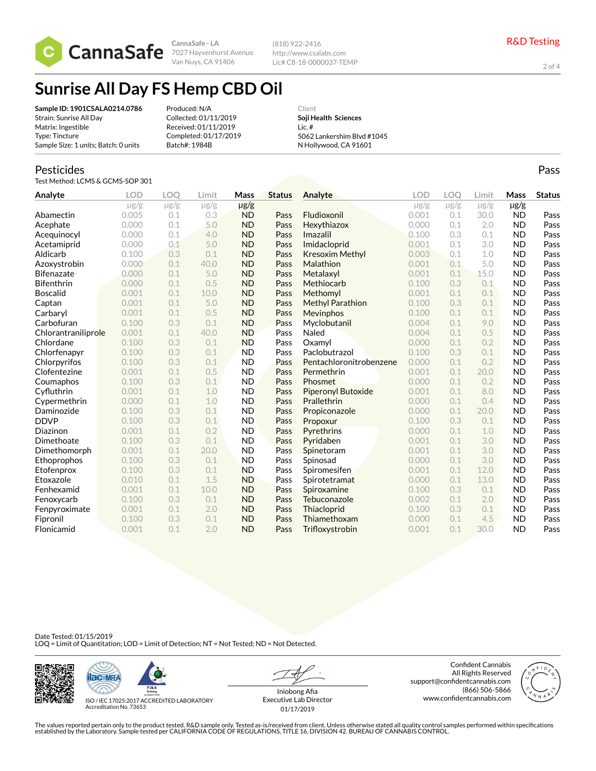

**CannaSafe - LA** Van Nuys, CA 91406

(818) 922-2416 http://www.csalabs.com Lic# C8-18-0000037-TEMP

2 of 4

Pass

## **Sunrise All Day FS Hemp CBD Oil**

**Sample ID: 1901CSALA0214.0786** Strain: Sunrise All Day Matrix: Ingestible Type: Tincture Sample Size: 1 units; Batch: 0 units

Produced: N/A Collected: 01/11/2019 Received: 01/11/2019 Completed: 01/17/2019 Batch#: 1984B

Client **Soji Health Sciences** Lic. # 5062 Lankershim Blvd #1045 N Hollywood, CA 91601

#### Pesticides

Test Method: LCMS & GCMS-SOP 301

| Analyte             | <b>LOD</b> | LOO       | Limit     | <b>Mass</b> | <b>Status</b> | Analyte                   | <b>LOD</b> | LOO       | Limit     | Mass      | <b>Status</b> |
|---------------------|------------|-----------|-----------|-------------|---------------|---------------------------|------------|-----------|-----------|-----------|---------------|
|                     | $\mu$ g/g  | $\mu$ g/g | $\mu$ g/g | $\mu$ g/g   |               |                           | $\mu$ g/g  | $\mu$ g/g | $\mu$ g/g | $\mu$ g/g |               |
| Abamectin           | 0.005      | 0.1       | 0.3       | <b>ND</b>   | Pass          | Fludioxonil               | 0.001      | 0.1       | 30.0      | <b>ND</b> | Pass          |
| Acephate            | 0.000      | 0.1       | 5.0       | <b>ND</b>   | Pass          | Hexythiazox               | 0.000      | 0.1       | 2.0       | <b>ND</b> | Pass          |
| Acequinocyl         | 0.000      | 0.1       | 4.0       | <b>ND</b>   | Pass          | Imazalil                  | 0.100      | 0.3       | 0.1       | <b>ND</b> | Pass          |
| Acetamiprid         | 0.000      | 0.1       | 5.0       | <b>ND</b>   | Pass          | Imidacloprid              | 0.001      | 0.1       | 3.0       | <b>ND</b> | Pass          |
| Aldicarb            | 0.100      | 0.3       | 0.1       | <b>ND</b>   | Pass          | Kresoxim Methyl           | 0.003      | 0.1       | 1.0       | <b>ND</b> | Pass          |
| Azoxystrobin        | 0.000      | 0.1       | 40.0      | <b>ND</b>   | Pass          | Malathion                 | 0.001      | 0.1       | 5.0       | <b>ND</b> | Pass          |
| <b>Bifenazate</b>   | 0.000      | 0.1       | 5.0       | <b>ND</b>   | Pass          | Metalaxyl                 | 0.001      | 0.1       | 15.0      | <b>ND</b> | Pass          |
| <b>Bifenthrin</b>   | 0.000      | 0.1       | 0.5       | <b>ND</b>   | Pass          | Methiocarb                | 0.100      | 0.3       | 0.1       | <b>ND</b> | Pass          |
| <b>Boscalid</b>     | 0.001      | 0.1       | 10.0      | <b>ND</b>   | Pass          | Methomyl                  | 0.001      | 0.1       | 0.1       | <b>ND</b> | Pass          |
| Captan              | 0.001      | 0.1       | 5.0       | <b>ND</b>   | Pass          | <b>Methyl Parathion</b>   | 0.100      | 0.3       | 0.1       | <b>ND</b> | Pass          |
| Carbaryl            | 0.001      | 0.1       | 0.5       | <b>ND</b>   | Pass          | Mevinphos                 | 0.100      | 0.1       | 0.1       | <b>ND</b> | Pass          |
| Carbofuran          | 0.100      | 0.3       | 0.1       | <b>ND</b>   | Pass          | Myclobutanil              | 0.004      | 0.1       | 9.0       | <b>ND</b> | Pass          |
| Chlorantraniliprole | 0.001      | 0.1       | 40.0      | <b>ND</b>   | Pass          | Naled                     | 0.004      | 0.1       | 0.5       | <b>ND</b> | Pass          |
| Chlordane           | 0.100      | 0.3       | 0.1       | <b>ND</b>   | Pass          | Oxamvl                    | 0.000      | 0.1       | 0.2       | <b>ND</b> | Pass          |
| Chlorfenapyr        | 0.100      | 0.3       | 0.1       | <b>ND</b>   | Pass          | Paclobutrazol             | 0.100      | 0.3       | 0.1       | <b>ND</b> | Pass          |
| Chlorpyrifos        | 0.100      | 0.3       | 0.1       | <b>ND</b>   | Pass          | Pentachloronitrobenzene   | 0.000      | 0.1       | 0.2       | <b>ND</b> | Pass          |
| Clofentezine        | 0.001      | 0.1       | 0.5       | <b>ND</b>   | Pass          | Permethrin                | 0.001      | 0.1       | 20.0      | <b>ND</b> | Pass          |
| Coumaphos           | 0.100      | 0.3       | 0.1       | <b>ND</b>   | Pass          | Phosmet                   | 0.000      | 0.1       | 0.2       | <b>ND</b> | Pass          |
| Cyfluthrin          | 0.001      | 0.1       | 1.0       | <b>ND</b>   | Pass          | <b>Piperonyl Butoxide</b> | 0.001      | 0.1       | 8.0       | <b>ND</b> | Pass          |
| Cypermethrin        | 0.000      | 0.1       | 1.0       | <b>ND</b>   | Pass          | Prallethrin               | 0.000      | 0.1       | 0.4       | <b>ND</b> | Pass          |
| Daminozide          | 0.100      | 0.3       | 0.1       | <b>ND</b>   | Pass          | Propiconazole             | 0.000      | 0.1       | 20.0      | <b>ND</b> | Pass          |
| <b>DDVP</b>         | 0.100      | 0.3       | 0.1       | <b>ND</b>   | Pass          | Propoxur                  | 0.100      | 0.3       | 0.1       | <b>ND</b> | Pass          |
| Diazinon            | 0.001      | 0.1       | 0.2       | <b>ND</b>   | Pass          | Pyrethrins                | 0.000      | 0.1       | 1.0       | <b>ND</b> | Pass          |
| Dimethoate          | 0.100      | 0.3       | 0.1       | <b>ND</b>   | Pass          | Pyridaben                 | 0.001      | 0.1       | 3.0       | <b>ND</b> | Pass          |
| Dimethomorph        | 0.001      | 0.1       | 20.0      | <b>ND</b>   | Pass          | Spinetoram                | 0.001      | 0.1       | 3.0       | <b>ND</b> | Pass          |
| Ethoprophos         | 0.100      | 0.3       | 0.1       | <b>ND</b>   | Pass          | Spinosad                  | 0.000      | 0.1       | 3.0       | <b>ND</b> | Pass          |
| Etofenprox          | 0.100      | 0.3       | 0.1       | <b>ND</b>   | Pass          | Spiromesifen              | 0.001      | 0.1       | 12.0      | <b>ND</b> | Pass          |
| Etoxazole           | 0.010      | 0.1       | 1.5       | <b>ND</b>   | Pass          | Spirotetramat             | 0.000      | 0.1       | 13.0      | <b>ND</b> | Pass          |
| Fenhexamid          | 0.001      | 0.1       | 10.0      | <b>ND</b>   | Pass          | Spiroxamine               | 0.100      | 0.3       | 0.1       | <b>ND</b> | Pass          |
| Fenoxycarb          | 0.100      | 0.3       | 0.1       | <b>ND</b>   | Pass          | Tebuconazole              | 0.002      | 0.1       | 2.0       | <b>ND</b> | Pass          |
| Fenpyroximate       | 0.001      | 0.1       | 2.0       | <b>ND</b>   | Pass          | Thiacloprid               | 0.100      | 0.3       | 0.1       | <b>ND</b> | Pass          |
| Fipronil            | 0.100      | 0.3       | 0.1       | <b>ND</b>   | Pass          | Thiamethoxam              | 0.000      | 0.1       | 4.5       | <b>ND</b> | Pass          |
| Flonicamid          | 0.001      | 0.1       | 2.0       | <b>ND</b>   | Pass          | Trifloxystrobin           | 0.001      | 0.1       | 30.0      | <b>ND</b> | Pass          |

Date Tested: 01/15/2019 LOQ = Limit of Quantitation; LOD = Limit of Detection; NT = Not Tested; ND = Not Detected.





ISO / IEC 17025:2017 ACCREDITED LABORATORY Accreditation No. 73653

Iniobong Afia Executive Lab Director 01/17/2019

Confident Cannabis All Rights Reserved support@confidentcannabis.com (866) 506-5866 www.confidentcannabis.com

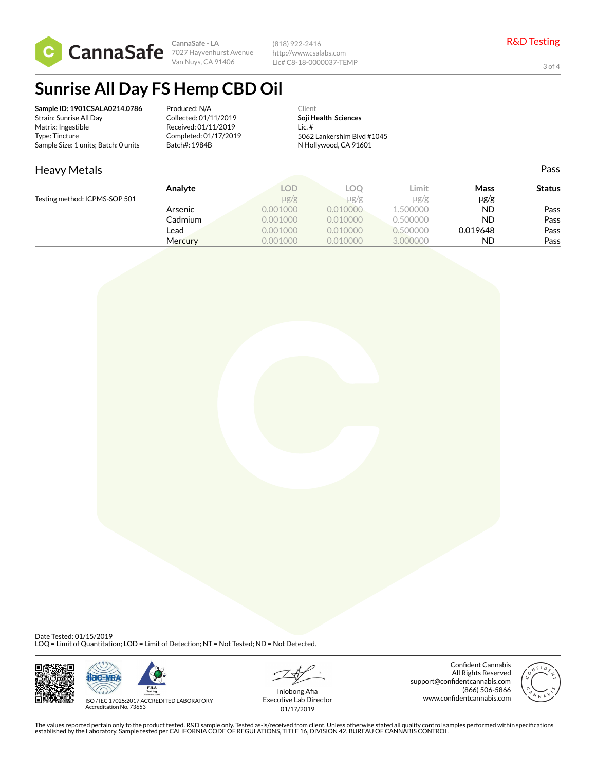

**CannaSafe - LA** 7027 Hayvenhurst Avenue Van Nuys, CA 91406

(818) 922-2416 http://www.csalabs.com Lic# C8-18-0000037-TEMP

3 of 4

Pass

### **Sunrise All Day FS Hemp CBD Oil**

| Sample ID: 1901CSALA0214.0786        | Produced: N/A         | Client                     |  |
|--------------------------------------|-----------------------|----------------------------|--|
| Strain: Sunrise All Day              | Collected: 01/11/2019 | Soji Health Sciences       |  |
| Matrix: Ingestible                   | Received: 01/11/2019  | Lic. #                     |  |
| Type: Tincture                       | Completed: 01/17/2019 | 5062 Lankershim Blvd #1045 |  |
| Sample Size: 1 units; Batch: 0 units | Batch#: 1984B         | N Hollywood, CA 91601      |  |

### Heavy Metals

|                               | Analyte | LOD       | LOC.     | ∟imit     | Mass      | <b>Status</b> |
|-------------------------------|---------|-----------|----------|-----------|-----------|---------------|
|                               |         |           |          |           |           |               |
| Testing method: ICPMS-SOP 501 |         | $\mu$ g/g | µg/g     | $\mu$ g/g | $\mu$ g/g |               |
|                               | Arsenic | 0.001000  | 0.010000 | 1.500000  | <b>ND</b> | Pass          |
|                               | Cadmium | 0.001000  | 0.010000 | 0.500000  | <b>ND</b> | Pass          |
|                               | Lead    | 0.001000  | 0.010000 | 0.500000  | 0.019648  | Pass          |
|                               | Mercury | 0.001000  | 0.010000 | 3.000000  | <b>ND</b> | Pass          |

Date Tested: 01/15/2019<br>LOQ = Limit of Quantitation; LOD = Limit of Detection; NT = Not Tested; ND = Not Detected.





ISO / IEC 17025:2017 ACCREDITED LABORATORY Accreditation No. 73653

Iniobong Afia Executive Lab Director 01/17/2019

Confident Cannabis All Rights Reserved support@confidentcannabis.com (866) 506-5866 www.confidentcannabis.com